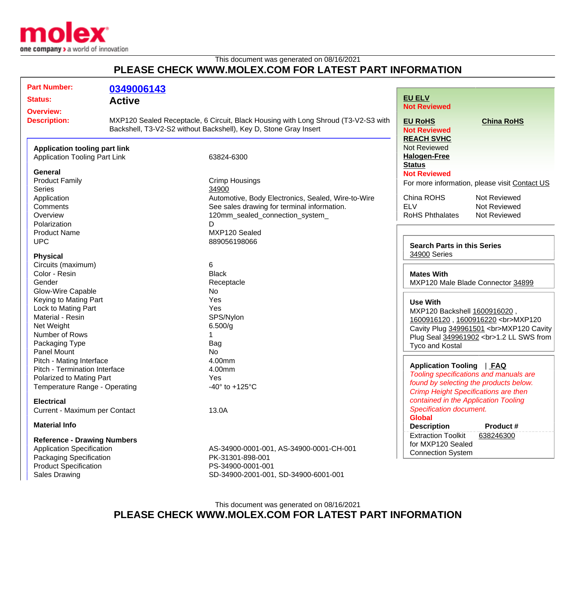

## This document was generated on 08/16/2021 **PLEASE CHECK WWW.MOLEX.COM FOR LATEST PART INFORMATION**

| <b>Part Number:</b>                                                          | 0349006143                                                                                                                                             |                                                    |                                                                                                                               |                   |
|------------------------------------------------------------------------------|--------------------------------------------------------------------------------------------------------------------------------------------------------|----------------------------------------------------|-------------------------------------------------------------------------------------------------------------------------------|-------------------|
|                                                                              |                                                                                                                                                        |                                                    | <b>EU ELV</b>                                                                                                                 |                   |
| <b>Status:</b>                                                               | <b>Active</b>                                                                                                                                          |                                                    | <b>Not Reviewed</b>                                                                                                           |                   |
| <b>Overview:</b><br><b>Description:</b>                                      | MXP120 Sealed Receptacle, 6 Circuit, Black Housing with Long Shroud (T3-V2-S3 with<br>Backshell, T3-V2-S2 without Backshell), Key D, Stone Gray Insert |                                                    | <b>EU RoHS</b><br><b>Not Reviewed</b>                                                                                         | <b>China RoHS</b> |
|                                                                              |                                                                                                                                                        |                                                    | <b>REACH SVHC</b>                                                                                                             |                   |
| <b>Application tooling part link</b><br><b>Application Tooling Part Link</b> |                                                                                                                                                        |                                                    | <b>Not Reviewed</b><br><b>Halogen-Free</b>                                                                                    |                   |
|                                                                              |                                                                                                                                                        | 63824-6300                                         | <b>Status</b>                                                                                                                 |                   |
| <b>General</b>                                                               |                                                                                                                                                        |                                                    | <b>Not Reviewed</b>                                                                                                           |                   |
| <b>Product Family</b>                                                        |                                                                                                                                                        | Crimp Housings                                     | For more information, please visit Contact US                                                                                 |                   |
| <b>Series</b>                                                                |                                                                                                                                                        | 34900                                              |                                                                                                                               |                   |
| Application                                                                  |                                                                                                                                                        | Automotive, Body Electronics, Sealed, Wire-to-Wire | China ROHS                                                                                                                    | Not Reviewed      |
| Comments                                                                     |                                                                                                                                                        | See sales drawing for terminal information.        | <b>ELV</b>                                                                                                                    | Not Reviewed      |
| Overview                                                                     |                                                                                                                                                        | 120mm_sealed_connection_system_                    | <b>RoHS Phthalates</b>                                                                                                        | Not Reviewed      |
| Polarization<br>D                                                            |                                                                                                                                                        |                                                    |                                                                                                                               |                   |
| <b>Product Name</b>                                                          |                                                                                                                                                        | MXP120 Sealed                                      |                                                                                                                               |                   |
| <b>UPC</b>                                                                   |                                                                                                                                                        | 889056198066                                       | <b>Search Parts in this Series</b><br>34900 Series                                                                            |                   |
|                                                                              |                                                                                                                                                        |                                                    |                                                                                                                               |                   |
| <b>Physical</b>                                                              |                                                                                                                                                        | 6                                                  |                                                                                                                               |                   |
| Circuits (maximum)<br>Color - Resin                                          |                                                                                                                                                        | <b>Black</b>                                       | <b>Mates With</b><br>MXP120 Male Blade Connector 34899                                                                        |                   |
| Gender                                                                       |                                                                                                                                                        | Receptacle                                         |                                                                                                                               |                   |
| Glow-Wire Capable                                                            |                                                                                                                                                        | No                                                 |                                                                                                                               |                   |
| Keying to Mating Part                                                        |                                                                                                                                                        | Yes                                                |                                                                                                                               |                   |
| Lock to Mating Part                                                          |                                                                                                                                                        | Yes                                                | <b>Use With</b><br>MXP120 Backshell 1600916020,<br>1600916120, 1600916220<br>MXP120<br>Cavity Plug 349961501<br>MXP120 Cavity |                   |
| Material - Resin                                                             |                                                                                                                                                        | SPS/Nylon                                          |                                                                                                                               |                   |
| Net Weight                                                                   |                                                                                                                                                        | 6.500/g                                            |                                                                                                                               |                   |
| Number of Rows                                                               |                                                                                                                                                        |                                                    |                                                                                                                               |                   |
| Packaging Type                                                               |                                                                                                                                                        | Bag                                                | Plug Seal 349961902<br>1.2 LL SWS from                                                                                        |                   |
| Panel Mount                                                                  |                                                                                                                                                        | No                                                 | Tyco and Kostal                                                                                                               |                   |
| Pitch - Mating Interface                                                     |                                                                                                                                                        | 4.00mm                                             |                                                                                                                               |                   |
| Pitch - Termination Interface                                                |                                                                                                                                                        | 4.00mm                                             | <b>Application Tooling</b><br>$ $ FAQ<br>Tooling specifications and manuals are<br>found by selecting the products below.     |                   |
| Polarized to Mating Part                                                     |                                                                                                                                                        | Yes                                                |                                                                                                                               |                   |
| Temperature Range - Operating                                                |                                                                                                                                                        | -40 $\degree$ to +125 $\degree$ C                  |                                                                                                                               |                   |
|                                                                              |                                                                                                                                                        |                                                    | <b>Crimp Height Specifications are then</b>                                                                                   |                   |
| <b>Electrical</b>                                                            |                                                                                                                                                        |                                                    | contained in the Application Tooling<br>Specification document.                                                               |                   |
| Current - Maximum per Contact                                                |                                                                                                                                                        | 13.0A                                              |                                                                                                                               |                   |
| <b>Material Info</b>                                                         |                                                                                                                                                        |                                                    | <b>Global</b>                                                                                                                 |                   |
|                                                                              |                                                                                                                                                        |                                                    | <b>Description</b>                                                                                                            | Product #         |
| <b>Reference - Drawing Numbers</b>                                           |                                                                                                                                                        |                                                    | <b>Extraction Toolkit</b>                                                                                                     | 638246300         |
| <b>Application Specification</b>                                             |                                                                                                                                                        | AS-34900-0001-001, AS-34900-0001-CH-001            | for MXP120 Sealed<br><b>Connection System</b>                                                                                 |                   |
| Packaging Specification                                                      |                                                                                                                                                        | PK-31301-898-001                                   |                                                                                                                               |                   |
| <b>Product Specification</b>                                                 |                                                                                                                                                        | PS-34900-0001-001                                  |                                                                                                                               |                   |
| <b>Sales Drawing</b>                                                         |                                                                                                                                                        | SD-34900-2001-001, SD-34900-6001-001               |                                                                                                                               |                   |

## This document was generated on 08/16/2021 **PLEASE CHECK WWW.MOLEX.COM FOR LATEST PART INFORMATION**